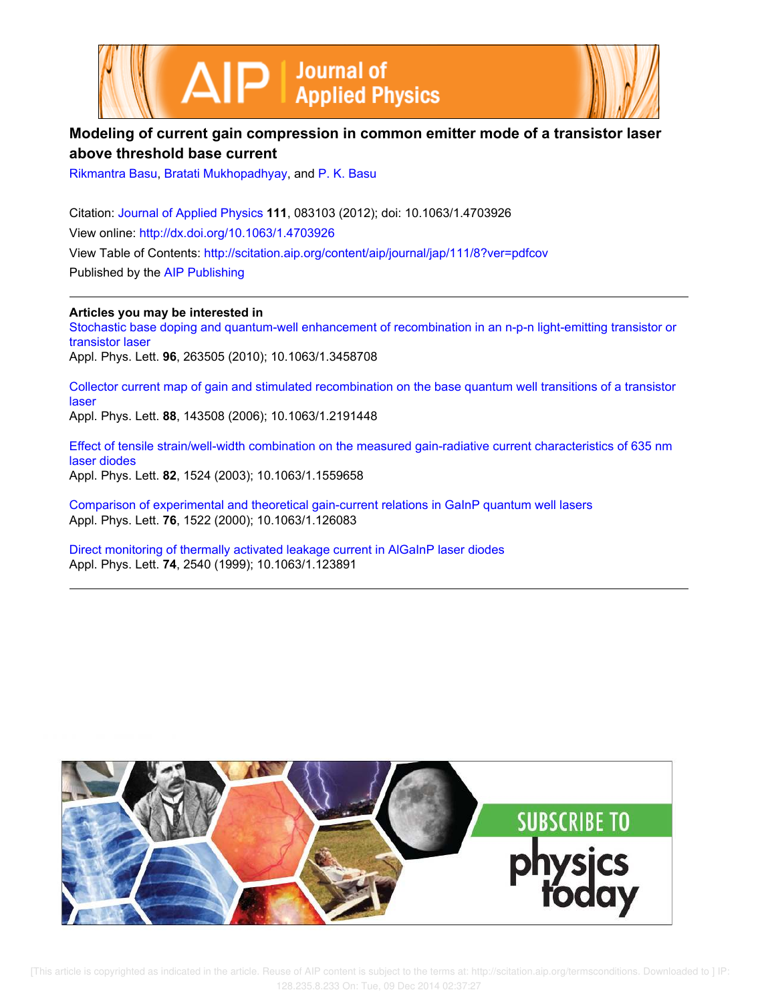



# **Modeling of current gain compression in common emitter mode of a transistor laser above threshold base current**

Rikmantra Basu, Bratati Mukhopadhyay, and P. K. Basu

Citation: Journal of Applied Physics **111**, 083103 (2012); doi: 10.1063/1.4703926 View online: http://dx.doi.org/10.1063/1.4703926 View Table of Contents: http://scitation.aip.org/content/aip/journal/jap/111/8?ver=pdfcov Published by the AIP Publishing

**Articles you may be interested in**

Stochastic base doping and quantum-well enhancement of recombination in an n-p-n light-emitting transistor or transistor laser Appl. Phys. Lett. **96**, 263505 (2010); 10.1063/1.3458708

Collector current map of gain and stimulated recombination on the base quantum well transitions of a transistor laser Appl. Phys. Lett. **88**, 143508 (2006); 10.1063/1.2191448

Effect of tensile strain/well-width combination on the measured gain-radiative current characteristics of 635 nm laser diodes Appl. Phys. Lett. **82**, 1524 (2003); 10.1063/1.1559658

Comparison of experimental and theoretical gain-current relations in GaInP quantum well lasers Appl. Phys. Lett. **76**, 1522 (2000); 10.1063/1.126083

Direct monitoring of thermally activated leakage current in AlGaInP laser diodes Appl. Phys. Lett. **74**, 2540 (1999); 10.1063/1.123891

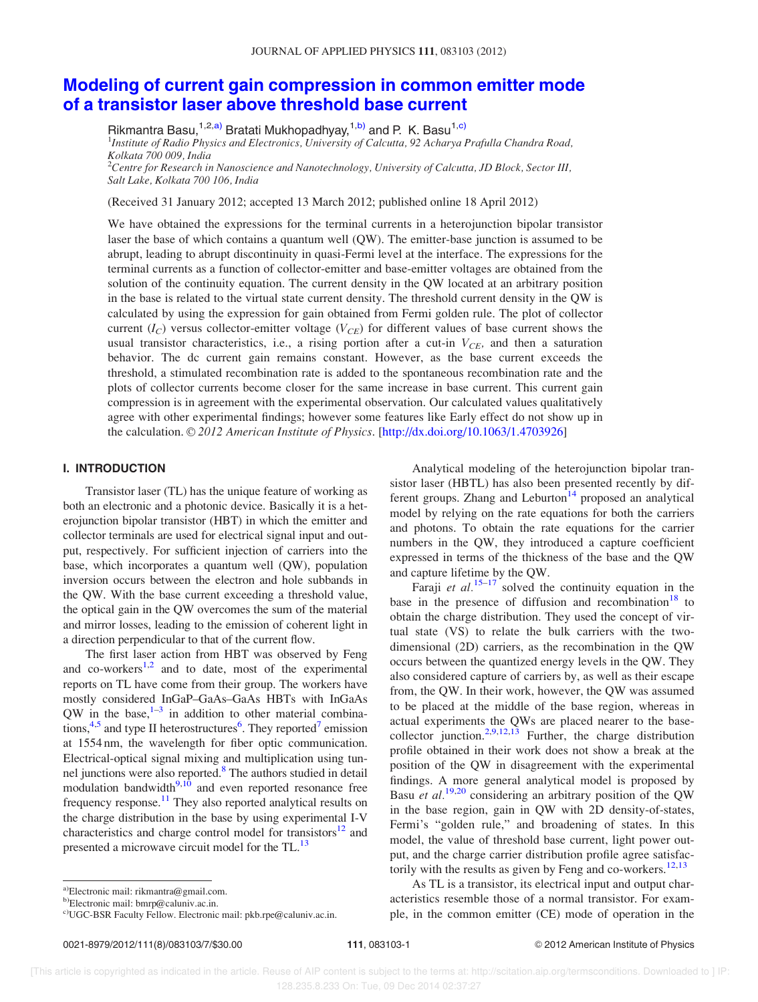## Modeling of current gain compression in common emitter mode of a transistor laser above threshold base current

Rikmantra Basu,<sup>1,2,a)</sup> Bratati Mukhopadhyay,<sup>1,b)</sup> and P. K. Basu<sup>1,c)</sup>

1 *Institute of Radio Physics and Electronics, University of Calcutta, 92 Acharya Prafulla Chandra Road, Kolkata 700 009, India*

<sup>2</sup>*Centre for Research in Nanoscience and Nanotechnology, University of Calcutta, JD Block, Sector III, Salt Lake, Kolkata 700 106, India*

(Received 31 January 2012; accepted 13 March 2012; published online 18 April 2012)

We have obtained the expressions for the terminal currents in a heterojunction bipolar transistor laser the base of which contains a quantum well (QW). The emitter-base junction is assumed to be abrupt, leading to abrupt discontinuity in quasi-Fermi level at the interface. The expressions for the terminal currents as a function of collector-emitter and base-emitter voltages are obtained from the solution of the continuity equation. The current density in the QW located at an arbitrary position in the base is related to the virtual state current density. The threshold current density in the QW is calculated by using the expression for gain obtained from Fermi golden rule. The plot of collector current  $(I_C)$  versus collector-emitter voltage  $(V_{CE})$  for different values of base current shows the usual transistor characteristics, i.e., a rising portion after a cut-in  $V_{CE}$ , and then a saturation behavior. The dc current gain remains constant. However, as the base current exceeds the threshold, a stimulated recombination rate is added to the spontaneous recombination rate and the plots of collector currents become closer for the same increase in base current. This current gain compression is in agreement with the experimental observation. Our calculated values qualitatively agree with other experimental findings; however some features like Early effect do not show up in the calculation. © 2012 American Institute of Physics. [http://dx.doi.org/10.1063/1.4703926]

### I. INTRODUCTION

Transistor laser (TL) has the unique feature of working as both an electronic and a photonic device. Basically it is a heterojunction bipolar transistor (HBT) in which the emitter and collector terminals are used for electrical signal input and output, respectively. For sufficient injection of carriers into the base, which incorporates a quantum well (QW), population inversion occurs between the electron and hole subbands in the QW. With the base current exceeding a threshold value, the optical gain in the QW overcomes the sum of the material and mirror losses, leading to the emission of coherent light in a direction perpendicular to that of the current flow.

The first laser action from HBT was observed by Feng and co-workers<sup>1,2</sup> and to date, most of the experimental reports on TL have come from their group. The workers have mostly considered InGaP–GaAs–GaAs HBTs with InGaAs  $QW$  in the base, $1-3$  in addition to other material combinations,<sup>4,5</sup> and type II heterostructures<sup>6</sup>. They reported<sup>7</sup> emission at 1554 nm, the wavelength for fiber optic communication. Electrical-optical signal mixing and multiplication using tunnel junctions were also reported.<sup>8</sup> The authors studied in detail modulation bandwidth $9,10$  and even reported resonance free frequency response.<sup>11</sup> They also reported analytical results on the charge distribution in the base by using experimental I-V characteristics and charge control model for transistors $12$  and presented a microwave circuit model for the TL.<sup>13</sup>

Analytical modeling of the heterojunction bipolar transistor laser (HBTL) has also been presented recently by different groups. Zhang and Leburton<sup>14</sup> proposed an analytical model by relying on the rate equations for both the carriers and photons. To obtain the rate equations for the carrier numbers in the QW, they introduced a capture coefficient expressed in terms of the thickness of the base and the QW and capture lifetime by the QW.

Faraji *et al.*<sup>15–17</sup> solved the continuity equation in the base in the presence of diffusion and recombination<sup>18</sup> to obtain the charge distribution. They used the concept of virtual state (VS) to relate the bulk carriers with the twodimensional (2D) carriers, as the recombination in the QW occurs between the quantized energy levels in the QW. They also considered capture of carriers by, as well as their escape from, the QW. In their work, however, the QW was assumed to be placed at the middle of the base region, whereas in actual experiments the QWs are placed nearer to the basecollector junction.<sup>2,9,12,13</sup> Further, the charge distribution profile obtained in their work does not show a break at the position of the QW in disagreement with the experimental findings. A more general analytical model is proposed by Basu *et al.*<sup>19,20</sup> considering an arbitrary position of the QW in the base region, gain in QW with 2D density-of-states, Fermi's "golden rule," and broadening of states. In this model, the value of threshold base current, light power output, and the charge carrier distribution profile agree satisfactorily with the results as given by Feng and co-workers.<sup>12,13</sup>

As TL is a transistor, its electrical input and output characteristics resemble those of a normal transistor. For example, in the common emitter (CE) mode of operation in the

a)Electronic mail: rikmantra@gmail.com.

b)Electronic mail: bmrp@caluniv.ac.in.

c)UGC-BSR Faculty Fellow. Electronic mail: pkb.rpe@caluniv.ac.in.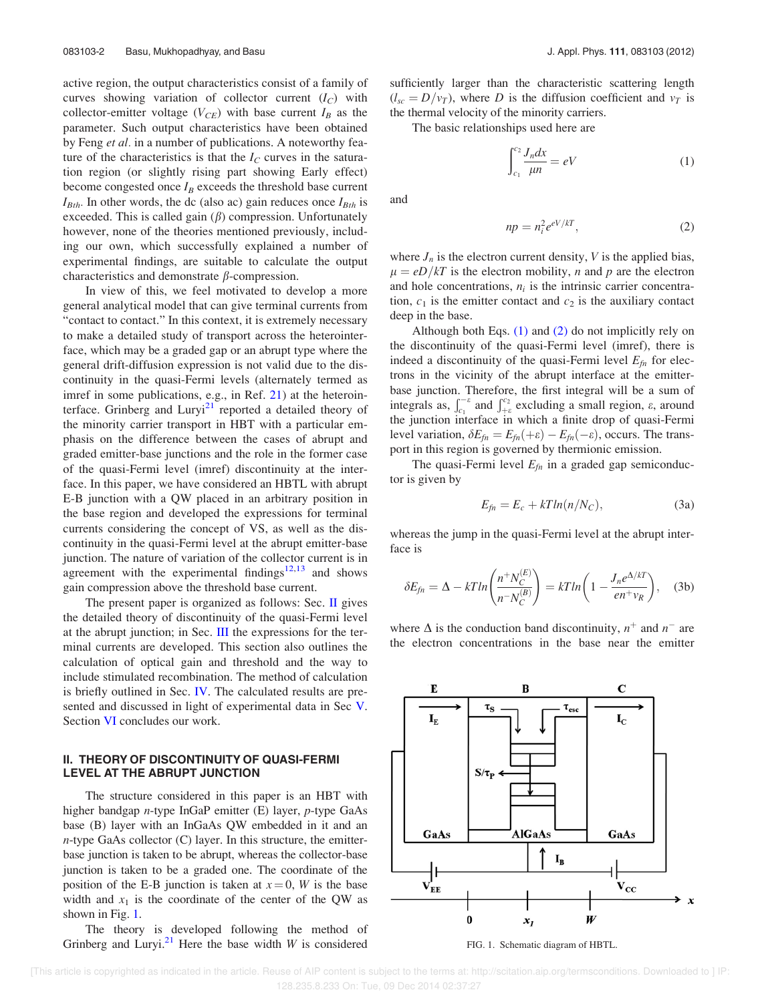active region, the output characteristics consist of a family of curves showing variation of collector current (*IC*) with collector-emitter voltage  $(V_{CE})$  with base current  $I_B$  as the parameter. Such output characteristics have been obtained by Feng *et al.* in a number of publications. A noteworthy feature of the characteristics is that the  $I_C$  curves in the saturation region (or slightly rising part showing Early effect) become congested once  $I_B$  exceeds the threshold base current  $I_{Bth}$ . In other words, the dc (also ac) gain reduces once  $I_{Bth}$  is exceeded. This is called gain  $(\beta)$  compression. Unfortunately however, none of the theories mentioned previously, including our own, which successfully explained a number of experimental findings, are suitable to calculate the output characteristics and demonstrate  $\beta$ -compression.

In view of this, we feel motivated to develop a more general analytical model that can give terminal currents from "contact to contact." In this context, it is extremely necessary to make a detailed study of transport across the heterointerface, which may be a graded gap or an abrupt type where the general drift-diffusion expression is not valid due to the discontinuity in the quasi-Fermi levels (alternately termed as imref in some publications, e.g., in Ref. 21) at the heterointerface. Grinberg and  $Luryi<sup>21</sup>$  reported a detailed theory of the minority carrier transport in HBT with a particular emphasis on the difference between the cases of abrupt and graded emitter-base junctions and the role in the former case of the quasi-Fermi level (imref) discontinuity at the interface. In this paper, we have considered an HBTL with abrupt E-B junction with a QW placed in an arbitrary position in the base region and developed the expressions for terminal currents considering the concept of VS, as well as the discontinuity in the quasi-Fermi level at the abrupt emitter-base junction. The nature of variation of the collector current is in agreement with the experimental findings<sup>12,13</sup> and shows gain compression above the threshold base current.

The present paper is organized as follows: Sec. II gives the detailed theory of discontinuity of the quasi-Fermi level at the abrupt junction; in Sec. III the expressions for the terminal currents are developed. This section also outlines the calculation of optical gain and threshold and the way to include stimulated recombination. The method of calculation is briefly outlined in Sec. IV. The calculated results are presented and discussed in light of experimental data in Sec V. Section VI concludes our work.

## II. THEORY OF DISCONTINUITY OF QUASI-FERMI LEVEL AT THE ABRUPT JUNCTION

The structure considered in this paper is an HBT with higher bandgap *n*-type InGaP emitter (E) layer, *p*-type GaAs base (B) layer with an InGaAs QW embedded in it and an *n*-type GaAs collector (C) layer. In this structure, the emitterbase junction is taken to be abrupt, whereas the collector-base junction is taken to be a graded one. The coordinate of the position of the E-B junction is taken at  $x = 0$ , *W* is the base width and  $x_1$  is the coordinate of the center of the QW as shown in Fig. 1.

The theory is developed following the method of Grinberg and Luryi.<sup>21</sup> Here the base width  $W$  is considered sufficiently larger than the characteristic scattering length  $(l_{sc} = D/v_T)$ , where *D* is the diffusion coefficient and  $v_T$  is the thermal velocity of the minority carriers.

The basic relationships used here are

$$
\int_{c_1}^{c_2} \frac{J_n dx}{\mu n} = eV \tag{1}
$$

and

$$
np = n_i^2 e^{eV/kT}, \t\t(2)
$$

where  $J_n$  is the electron current density, *V* is the applied bias,  $\mu = eD/kT$  is the electron mobility, *n* and *p* are the electron and hole concentrations,  $n_i$  is the intrinsic carrier concentration,  $c_1$  is the emitter contact and  $c_2$  is the auxiliary contact deep in the base.

Although both Eqs.  $(1)$  and  $(2)$  do not implicitly rely on the discontinuity of the quasi-Fermi level (imref), there is indeed a discontinuity of the quasi-Fermi level  $E_{fn}$  for electrons in the vicinity of the abrupt interface at the emitterbase junction. Therefore, the first integral will be a sum of integrals as,  $\int_{c_1}^{c_2}$  $C_{c_1}^{c_2}$  and  $\int_{+\varepsilon}^{c_2}$  excluding a small region,  $\varepsilon$ , around the junction interface in which a finite drop of quasi-Fermi level variation,  $\delta E_{fn} = E_{fn}(+\varepsilon) - E_{fn}(-\varepsilon)$ , occurs. The transport in this region is governed by thermionic emission.

The quasi-Fermi level  $E_{fn}$  in a graded gap semiconductor is given by

$$
E_{fn} = E_c + kT ln(n/N_C), \qquad (3a)
$$

whereas the jump in the quasi-Fermi level at the abrupt interface is

$$
\delta E_{fn} = \Delta - kT ln\left(\frac{n^+ N_C^{(E)}}{n^- N_C^{(B)}}\right) = kT ln\left(1 - \frac{J_n e^{\Delta/kT}}{en^+ v_R}\right), \quad (3b)
$$

where  $\Delta$  is the conduction band discontinuity,  $n^+$  and  $n^-$  are the electron concentrations in the base near the emitter



FIG. 1. Schematic diagram of HBTL.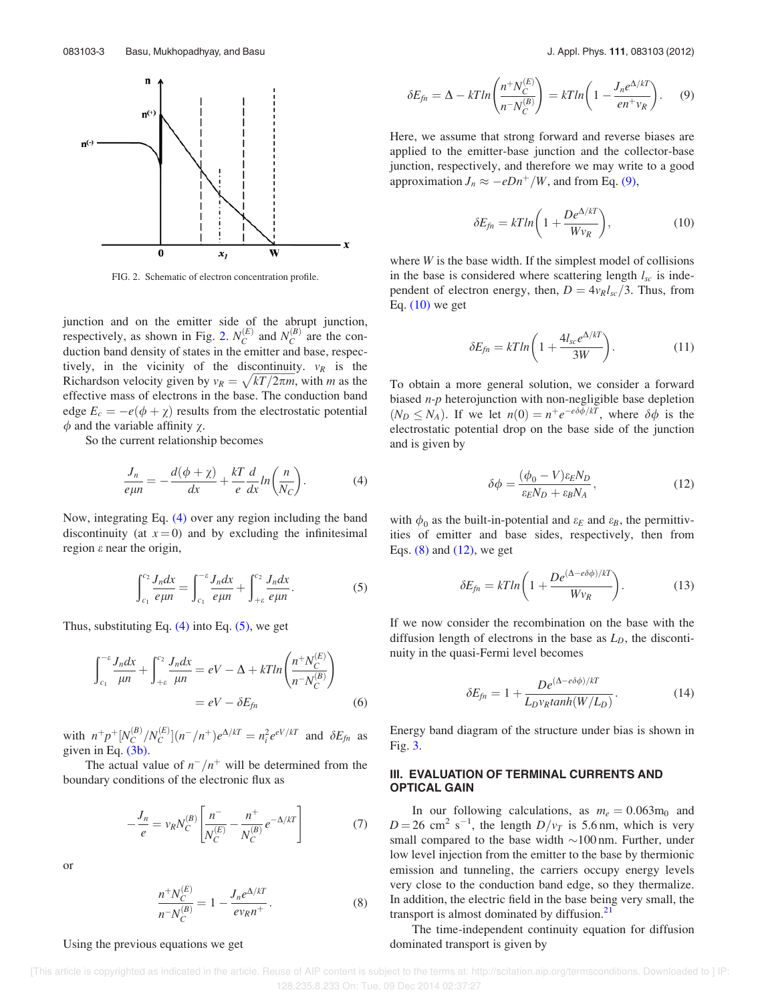

FIG. 2. Schematic of electron concentration profile.

junction and on the emitter side of the abrupt junction, respectively, as shown in Fig. 2.  $N_C^{(E)}$  $\chi_C^{(E)}$  and  $N_C^{(B)}$  $\binom{D}{C}$  are the conduction band density of states in the emitter and base, respectively, in the vicinity of the discontinuity.  $v_R$  is the Richardson velocity given by  $v_R = \sqrt{kT/2\pi m}$ , with *m* as the effective mass of electrons in the base. The conduction band edge  $E_c = -e(\phi + \chi)$  results from the electrostatic potential  $\phi$  and the variable affinity  $\chi$ .

So the current relationship becomes

$$
\frac{J_n}{e\mu n} = -\frac{d(\phi + \chi)}{dx} + \frac{kT}{e} \frac{d}{dx} ln\left(\frac{n}{N_C}\right).
$$
 (4)

Now, integrating Eq. (4) over any region including the band discontinuity (at  $x=0$ ) and by excluding the infinitesimal region  $\varepsilon$  near the origin,

$$
\int_{c_1}^{c_2} \frac{J_n dx}{e\mu n} = \int_{c_1}^{-\varepsilon} \frac{J_n dx}{e\mu n} + \int_{+\varepsilon}^{c_2} \frac{J_n dx}{e\mu n}.
$$
 (5)

Thus, substituting Eq.  $(4)$  into Eq.  $(5)$ , we get

$$
\int_{c_1}^{-\varepsilon} \frac{J_n dx}{\mu n} + \int_{+\varepsilon}^{c_2} \frac{J_n dx}{\mu n} = eV - \Delta + kT ln\left(\frac{n^+ N_C^{(E)}}{n^- N_C^{(B)}}\right)
$$

$$
= eV - \delta E_{fn}
$$
(6)

with  $n^+p^+ [N_C^{(B)}/N_C^{(E)}](n^-/n^+)e^{\Delta/kT} = n_i^2 e^{eV/kT}$  and  $\delta E_{fn}$  as given in Eq. (3b).

The actual value of  $n^-/n^+$  will be determined from the boundary conditions of the electronic flux as

$$
-\frac{J_n}{e} = v_R N_C^{(B)} \left[ \frac{n^-}{N_C^{(E)}} - \frac{n^+}{N_C^{(B)}} e^{-\Delta/kT} \right]
$$
(7)

or

$$
\frac{n^+ N_C^{(E)}}{n^- N_C^{(B)}} = 1 - \frac{J_n e^{\Delta/kT}}{e v_R n^+}.
$$
 (8)

#### Using the previous equations we get

$$
\delta E_{fn} = \Delta - kT ln\left(\frac{n^+ N_C^{(E)}}{n^- N_C^{(B)}}\right) = kT ln\left(1 - \frac{J_n e^{\Delta/kT}}{en^+ v_R}\right). \tag{9}
$$

Here, we assume that strong forward and reverse biases are applied to the emitter-base junction and the collector-base junction, respectively, and therefore we may write to a good approximation  $J_n \approx -eDn^+/W$ , and from Eq. (9),

$$
\delta E_{fn} = kT ln\bigg(1 + \frac{De^{\Delta/kT}}{Wv_R}\bigg),\tag{10}
$$

where *W* is the base width. If the simplest model of collisions in the base is considered where scattering length  $l_{sc}$  is independent of electron energy, then,  $D = 4v_Rl_{sc}/3$ . Thus, from Eq.  $(10)$  we get

$$
\delta E_{fn} = kT ln\left(1 + \frac{4l_{sc}e^{\Delta/kT}}{3W}\right). \tag{11}
$$

To obtain a more general solution, we consider a forward biased *n-p* heterojunction with non-negligible base depletion  $(N_D \leq N_A)$ . If we let  $n(0) = n^+ e^{-\epsilon \delta \phi / kT}$ , where  $\delta \phi$  is the electrostatic potential drop on the base side of the junction and is given by

$$
\delta \phi = \frac{(\phi_0 - V)\varepsilon_E N_D}{\varepsilon_E N_D + \varepsilon_B N_A},\tag{12}
$$

with  $\phi_0$  as the built-in-potential and  $\varepsilon_E$  and  $\varepsilon_B$ , the permittivities of emitter and base sides, respectively, then from Eqs.  $(8)$  and  $(12)$ , we get

$$
\delta E_{fn} = kT ln\left(1 + \frac{De^{(\Delta - e\delta\phi)/kT}}{Wv_R}\right). \tag{13}
$$

If we now consider the recombination on the base with the diffusion length of electrons in the base as  $L<sub>D</sub>$ , the discontinuity in the quasi-Fermi level becomes

$$
\delta E_{fn} = 1 + \frac{De^{(\Delta - e\delta\phi)/kT}}{L_D v_R \tanh(W/L_D)}.\tag{14}
$$

Energy band diagram of the structure under bias is shown in Fig. 3.

## III. EVALUATION OF TERMINAL CURRENTS AND OPTICAL GAIN

In our following calculations, as  $m_e = 0.063m_0$  and  $D = 26$  cm<sup>2</sup> s<sup>-1</sup>, the length  $D/v<sub>T</sub>$  is 5.6 nm, which is very small compared to the base width  $\sim$ 100 nm. Further, under low level injection from the emitter to the base by thermionic emission and tunneling, the carriers occupy energy levels very close to the conduction band edge, so they thermalize. In addition, the electric field in the base being very small, the transport is almost dominated by diffusion. $21$ 

The time-independent continuity equation for diffusion dominated transport is given by

 <sup>[</sup>This article is copyrighted as indicated in the article. Reuse of AIP content is subject to the terms at: http://scitation.aip.org/termsconditions. Downloaded to ] IP: 128.235.8.233 On: Tue, 09 Dec 2014 02:37:27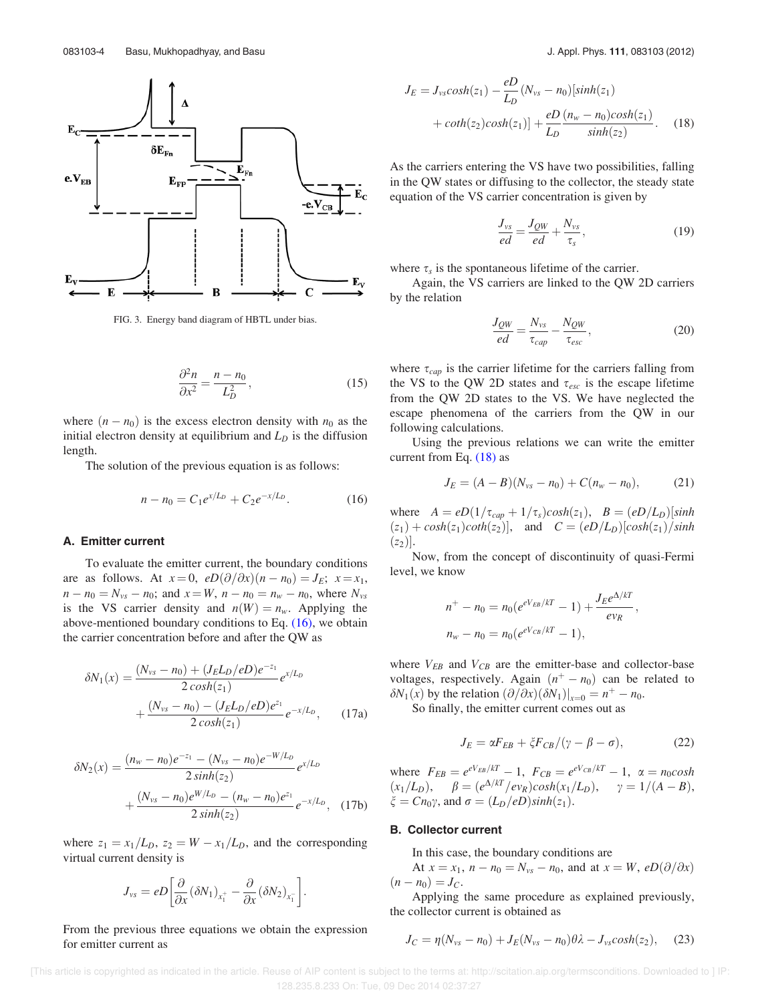

FIG. 3. Energy band diagram of HBTL under bias.

$$
\frac{\partial^2 n}{\partial x^2} = \frac{n - n_0}{L_D^2},\tag{15}
$$

where  $(n - n_0)$  is the excess electron density with  $n_0$  as the initial electron density at equilibrium and  $L<sub>D</sub>$  is the diffusion length.

The solution of the previous equation is as follows:

$$
n - n_0 = C_1 e^{x/L_D} + C_2 e^{-x/L_D}.
$$
 (16)

#### A. Emitter current

To evaluate the emitter current, the boundary conditions are as follows. At  $x = 0$ ,  $eD(\partial/\partial x)(n - n_0) = J_E$ ;  $x = x_1$ ,  $n - n_0 = N_{vs} - n_0$ ; and  $x = W$ ,  $n - n_0 = n_w - n_0$ , where  $N_{vs}$ is the VS carrier density and  $n(W) = n_w$ . Applying the above-mentioned boundary conditions to Eq.  $(16)$ , we obtain the carrier concentration before and after the QW as

$$
\delta N_1(x) = \frac{(N_{vs} - n_0) + (J_E L_D / eD)e^{-z_1}}{2 \cosh(z_1)} e^{x/L_D} + \frac{(N_{vs} - n_0) - (J_E L_D / eD)e^{z_1}}{2 \cosh(z_1)} e^{-x/L_D}, \quad (17a)
$$

$$
\delta N_2(x) = \frac{(n_w - n_0)e^{-z_1} - (N_{vs} - n_0)e^{-W/L_D}}{2\sinh(z_2)}e^{x/L_D} + \frac{(N_{vs} - n_0)e^{W/L_D} - (n_w - n_0)e^{z_1}}{2\sinh(z_2)}e^{-x/L_D}, \quad (17b)
$$

where  $z_1 = x_1/L_D$ ,  $z_2 = W - x_1/L_D$ , and the corresponding virtual current density is

$$
J_{\nu s}=eD\bigg[\frac{\partial}{\partial x}(\delta N_1)_{x_1^+}-\frac{\partial}{\partial x}(\delta N_2)_{x_1^-}\bigg].
$$

From the previous three equations we obtain the expression for emitter current as

$$
J_E = J_{vs} \cosh(z_1) - \frac{eD}{L_D} (N_{vs} - n_0) [\sinh(z_1) + \coth(z_2) \cosh(z_1)] + \frac{eD}{L_D} \frac{(n_w - n_0) \cosh(z_1)}{\sinh(z_2)}.
$$
 (18)

As the carriers entering the VS have two possibilities, falling in the QW states or diffusing to the collector, the steady state equation of the VS carrier concentration is given by

$$
\frac{J_{vs}}{ed} = \frac{J_{QW}}{ed} + \frac{N_{vs}}{\tau_s},\tag{19}
$$

where  $\tau_s$  is the spontaneous lifetime of the carrier.

Again, the VS carriers are linked to the QW 2D carriers by the relation

$$
\frac{J_{QW}}{ed} = \frac{N_{vs}}{\tau_{cap}} - \frac{N_{QW}}{\tau_{esc}},
$$
\n(20)

where  $\tau_{cap}$  is the carrier lifetime for the carriers falling from the VS to the QW 2D states and  $\tau_{esc}$  is the escape lifetime from the QW 2D states to the VS. We have neglected the escape phenomena of the carriers from the QW in our following calculations.

Using the previous relations we can write the emitter current from Eq. (18) as

$$
J_E = (A - B)(N_{vs} - n_0) + C(n_w - n_0), \tag{21}
$$

where  $A = eD(1/\tau_{cap} + 1/\tau_s)cosh(z_1), B = (eD/L_D)[sinh(z_1)/\tau_s]$  $(z_1) + \cosh(z_1)\coth(z_2)$ , and  $C = \frac{eD}{L_D}[\cosh(z_1)/\sinh(z_2)]$  $(z_2)$ .

Now, from the concept of discontinuity of quasi-Fermi level, we know

$$
n^{+} - n_{0} = n_{0}(e^{eV_{EB}/kT} - 1) + \frac{J_{E}e^{\Delta/kT}}{ev_{R}},
$$
  

$$
n_{w} - n_{0} = n_{0}(e^{eV_{CB}/kT} - 1),
$$

where  $V_{EB}$  and  $V_{CB}$  are the emitter-base and collector-base voltages, respectively. Again  $(n^+ - n_0)$  can be related to  $\delta N_1(x)$  by the relation  $(\partial/\partial x)(\delta N_1)|_{x=0} = n^+ - n_0$ .

So finally, the emitter current comes out as

$$
J_E = \alpha F_{EB} + \xi F_{CB}/(\gamma - \beta - \sigma), \qquad (22)
$$

where  $F_{EB} = e^{eV_{EB}/kT} - 1$ ,  $F_{CB} = e^{eV_{CB}/kT} - 1$ ,  $\alpha = n_0 \cosh$  $(x_1/L_D)$ ,  $\beta = (e^{\Delta/kT}/ev_R) \cosh(x_1/L_D)$ ,  $\gamma = 1/(A - B)$ ,  $\xi = Cn_0\gamma$ , and  $\sigma = (L_D/eD)\sinh(z_1)$ .

#### B. Collector current

In this case, the boundary conditions are

At  $x = x_1$ ,  $n - n_0 = N_{vs} - n_0$ , and at  $x = W$ ,  $eD(\partial/\partial x)$  $(n - n_0) = J_C.$ 

Applying the same procedure as explained previously, the collector current is obtained as

$$
J_C = \eta (N_{vs} - n_0) + J_E (N_{vs} - n_0) \theta \lambda - J_{vs} \cosh(z_2), \quad (23)
$$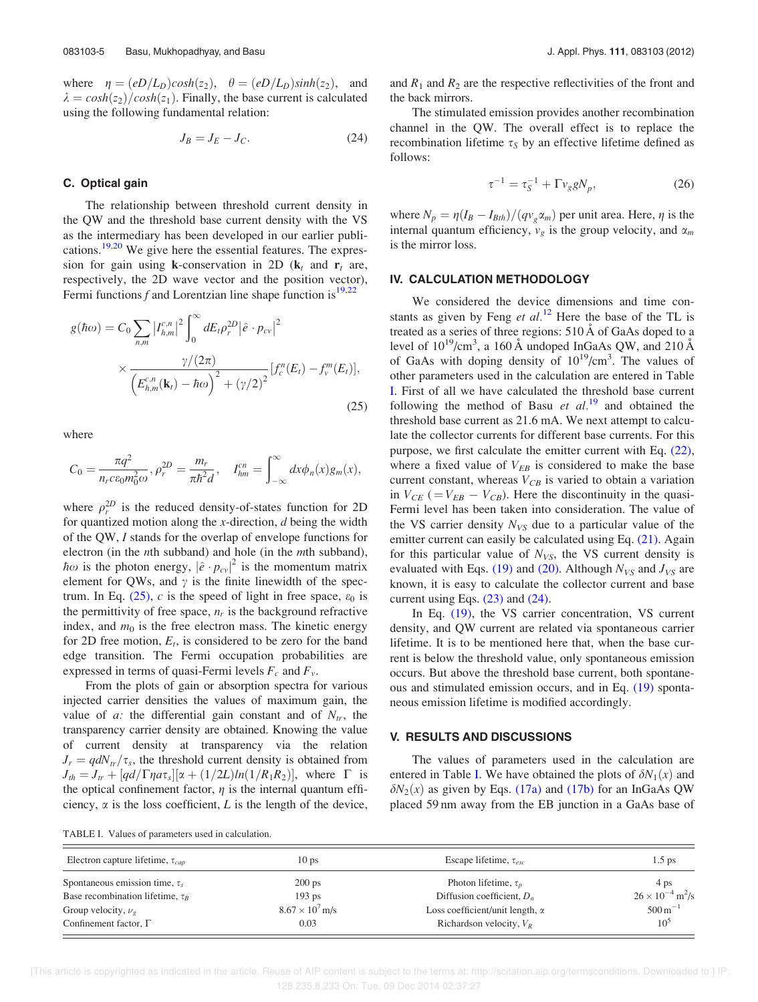where  $\eta = (eD/L_D)cosh(z_2)$ ,  $\theta = (eD/L_D)sinh(z_2)$ , and  $\lambda = \cosh(z_2)/\cosh(z_1)$ . Finally, the base current is calculated using the following fundamental relation:

$$
J_B = J_E - J_C. \tag{24}
$$

#### C. Optical gain

The relationship between threshold current density in the QW and the threshold base current density with the VS as the intermediary has been developed in our earlier publications.<sup>19,20</sup> We give here the essential features. The expression for gain using **k**-conservation in 2D ( $\mathbf{k}_t$  and  $\mathbf{r}_t$  are, respectively, the 2D wave vector and the position vector), Fermi functions  $f$  and Lorentzian line shape function is  $19,22$ 

$$
g(\hbar\omega) = C_0 \sum_{n,m} |I_{h,m}^{c,n}|^2 \int_0^\infty dE_t \rho_r^{2D} |\hat{e} \cdot p_{cv}|^2
$$
  
\$\times \frac{\gamma/(2\pi)}{\left(E\_{h,m}^{c,n}(\mathbf{k}\_t) - \hbar\omega\right)^2 + (\gamma/2)^2} [f\_c^n(E\_t) - f\_v^m(E\_t)], \tag{25}\$

where

$$
C_0 = \frac{\pi q^2}{n_r c \varepsilon_0 m_0^2 \omega}, \rho_r^{2D} = \frac{m_r}{\pi \hbar^2 d}, \quad I_{hm}^{cn} = \int_{-\infty}^{\infty} dx \phi_n(x) g_m(x),
$$

where  $\rho_r^{2D}$  is the reduced density-of-states function for 2D for quantized motion along the *x*-direction, *d* being the width of the QW, *I* stands for the overlap of envelope functions for electron (in the *n*th subband) and hole (in the *m*th subband),  $\hbar\omega$  is the photon energy,  $|\hat{e} \cdot p_{cv}|^2$  is the momentum matrix element for QWs, and  $\gamma$  is the finite linewidth of the spectrum. In Eq.  $(25)$ , *c* is the speed of light in free space,  $\varepsilon_0$  is the permittivity of free space,  $n_r$  is the background refractive index, and  $m_0$  is the free electron mass. The kinetic energy for 2D free motion,  $E_t$ , is considered to be zero for the band edge transition. The Fermi occupation probabilities are expressed in terms of quasi-Fermi levels  $F_c$  and  $F_v$ .

From the plots of gain or absorption spectra for various injected carrier densities the values of maximum gain, the value of  $a$ : the differential gain constant and of  $N<sub>tr</sub>$ , the transparency carrier density are obtained. Knowing the value of current density at transparency via the relation  $J_r = \frac{q dN_{tr}}{\tau_s}$ , the threshold current density is obtained from  $J_{th} = J_{tr} + [qd/\Gamma \eta a \tau_s][\alpha + (1/2L)ln(1/R_1R_2)],$  where  $\Gamma$  is the optical confinement factor,  $\eta$  is the internal quantum efficiency,  $\alpha$  is the loss coefficient,  $L$  is the length of the device, and  $R_1$  and  $R_2$  are the respective reflectivities of the front and the back mirrors.

The stimulated emission provides another recombination channel in the QW. The overall effect is to replace the recombination lifetime  $\tau_S$  by an effective lifetime defined as follows:

$$
\tau^{-1} = \tau_S^{-1} + \Gamma v_g g N_p, \tag{26}
$$

where  $N_p = \frac{\eta(I_B - I_{Bth})}{(qv_g\alpha_m)}$  per unit area. Here,  $\eta$  is the internal quantum efficiency,  $v_g$  is the group velocity, and  $\alpha_m$ is the mirror loss.

#### IV. CALCULATION METHODOLOGY

We considered the device dimensions and time constants as given by Feng *et al.*<sup>12</sup> Here the base of the TL is treated as a series of three regions: 510 Å of GaAs doped to a level of  $10^{19}$ /cm<sup>3</sup>, a 160 Å undoped InGaAs QW, and 210 Å of GaAs with doping density of  $10^{19}/\text{cm}^3$ . The values of other parameters used in the calculation are entered in Table I. First of all we have calculated the threshold base current following the method of Basu  $et \ al.<sup>19</sup>$  and obtained the threshold base current as 21.6 mA. We next attempt to calculate the collector currents for different base currents. For this purpose, we first calculate the emitter current with Eq. (22), where a fixed value of  $V_{EB}$  is considered to make the base current constant, whereas  $V_{CB}$  is varied to obtain a variation in  $V_{CE}$  (= $V_{EB}$  –  $V_{CB}$ ). Here the discontinuity in the quasi-Fermi level has been taken into consideration. The value of the VS carrier density  $N_{VS}$  due to a particular value of the emitter current can easily be calculated using Eq. (21). Again for this particular value of *NVS*, the VS current density is evaluated with Eqs. (19) and (20). Although  $N_{VS}$  and  $J_{VS}$  are known, it is easy to calculate the collector current and base current using Eqs. (23) and (24).

In Eq. (19), the VS carrier concentration, VS current density, and QW current are related via spontaneous carrier lifetime. It is to be mentioned here that, when the base current is below the threshold value, only spontaneous emission occurs. But above the threshold base current, both spontaneous and stimulated emission occurs, and in Eq. (19) spontaneous emission lifetime is modified accordingly.

#### V. RESULTS AND DISCUSSIONS

The values of parameters used in the calculation are entered in Table I. We have obtained the plots of  $\delta N_1(x)$  and  $\delta N_2(x)$  as given by Eqs. (17a) and (17b) for an InGaAs QW placed 59 nm away from the EB junction in a GaAs base of

|  |  |  |  | TABLE I. Values of parameters used in calculation. |
|--|--|--|--|----------------------------------------------------|
|--|--|--|--|----------------------------------------------------|

| Electron capture lifetime, $\tau_{\text{can}}$ | 10 <sub>ps</sub>       | Escape lifetime, $\tau_{esc}$          | $1.5$ ps                              |
|------------------------------------------------|------------------------|----------------------------------------|---------------------------------------|
| Spontaneous emission time, $\tau_s$            | $200 \text{ ps}$       | Photon lifetime, $\tau_p$              | 4 ps                                  |
| Base recombination lifetime, $\tau_R$          | $193$ ps               | Diffusion coefficient, $D_n$           | $26 \times 10^{-4}$ m <sup>2</sup> /s |
| Group velocity, $\nu_e$                        | $8.67 \times 10^7$ m/s | Loss coefficient/unit length, $\alpha$ | $500 \,\mathrm{m}^{-1}$               |
| Confinement factor, $\Gamma$                   | 0.03                   | Richardson velocity, $V_R$             | $10^{3}$                              |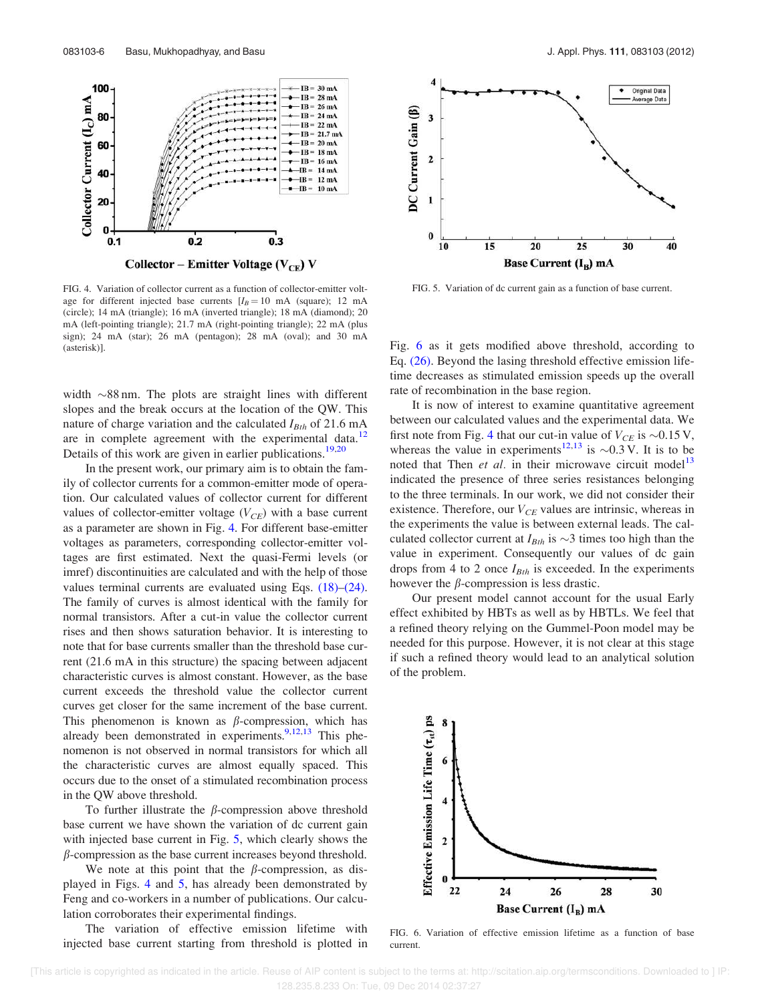

FIG. 4. Variation of collector current as a function of collector-emitter voltage for different injected base currents  $[I_B = 10 \text{ mA}$  (square); 12 mA (circle); 14 mA (triangle); 16 mA (inverted triangle); 18 mA (diamond); 20 mA (left-pointing triangle); 21.7 mA (right-pointing triangle); 22 mA (plus sign); 24 mA (star); 26 mA (pentagon); 28 mA (oval); and 30 mA (asterisk)].

width  $\sim$ 88 nm. The plots are straight lines with different slopes and the break occurs at the location of the QW. This nature of charge variation and the calculated  $I_{Bth}$  of 21.6 mA are in complete agreement with the experimental data.<sup>12</sup> Details of this work are given in earlier publications.<sup>19,20</sup>

In the present work, our primary aim is to obtain the family of collector currents for a common-emitter mode of operation. Our calculated values of collector current for different values of collector-emitter voltage  $(V_{CE})$  with a base current as a parameter are shown in Fig. 4. For different base-emitter voltages as parameters, corresponding collector-emitter voltages are first estimated. Next the quasi-Fermi levels (or imref) discontinuities are calculated and with the help of those values terminal currents are evaluated using Eqs. (18)–(24). The family of curves is almost identical with the family for normal transistors. After a cut-in value the collector current rises and then shows saturation behavior. It is interesting to note that for base currents smaller than the threshold base current (21.6 mA in this structure) the spacing between adjacent characteristic curves is almost constant. However, as the base current exceeds the threshold value the collector current curves get closer for the same increment of the base current. This phenomenon is known as  $\beta$ -compression, which has already been demonstrated in experiments.  $9,12,13$  This phenomenon is not observed in normal transistors for which all the characteristic curves are almost equally spaced. This occurs due to the onset of a stimulated recombination process in the QW above threshold.

To further illustrate the  $\beta$ -compression above threshold base current we have shown the variation of dc current gain with injected base current in Fig. 5, which clearly shows the  $\beta$ -compression as the base current increases beyond threshold.

We note at this point that the  $\beta$ -compression, as displayed in Figs. 4 and 5, has already been demonstrated by Feng and co-workers in a number of publications. Our calculation corroborates their experimental findings.

The variation of effective emission lifetime with injected base current starting from threshold is plotted in



FIG. 5. Variation of dc current gain as a function of base current.

Fig. 6 as it gets modified above threshold, according to Eq. (26). Beyond the lasing threshold effective emission lifetime decreases as stimulated emission speeds up the overall rate of recombination in the base region.

It is now of interest to examine quantitative agreement between our calculated values and the experimental data. We first note from Fig. 4 that our cut-in value of  $V_{CE}$  is  $\sim 0.15 \text{ V}$ , whereas the value in experiments<sup>12,13</sup> is  $\sim 0.3$  V. It is to be noted that Then *et al.* in their microwave circuit model<sup>13</sup> indicated the presence of three series resistances belonging to the three terminals. In our work, we did not consider their existence. Therefore, our *VCE* values are intrinsic, whereas in the experiments the value is between external leads. The calculated collector current at  $I_{Bth}$  is  $\sim$ 3 times too high than the value in experiment. Consequently our values of dc gain drops from 4 to 2 once *IBth* is exceeded. In the experiments however the  $\beta$ -compression is less drastic.

Our present model cannot account for the usual Early effect exhibited by HBTs as well as by HBTLs. We feel that a refined theory relying on the Gummel-Poon model may be needed for this purpose. However, it is not clear at this stage if such a refined theory would lead to an analytical solution of the problem.



FIG. 6. Variation of effective emission lifetime as a function of base current.